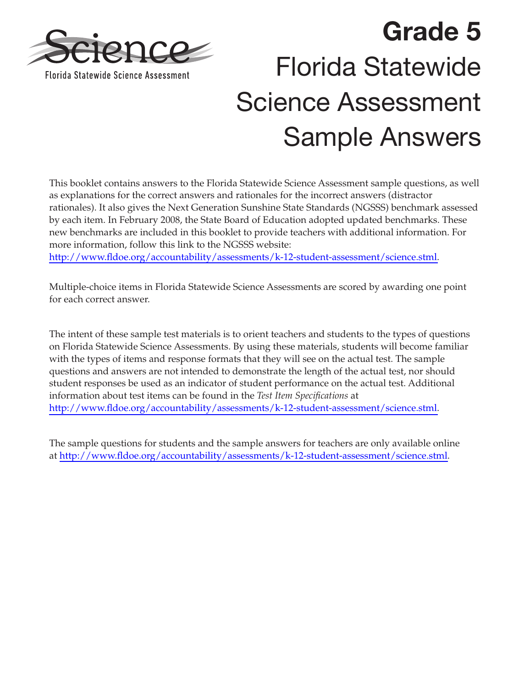

# **Grade 5**  Florida Statewide Science Assessment Sample Answers

This booklet contains answers to the Florida Statewide Science Assessment sample questions, as well as explanations for the correct answers and rationales for the incorrect answers (distractor rationales). It also gives the Next Generation Sunshine State Standards (NGSSS) benchmark assessed by each item. In February 2008, the State Board of Education adopted updated benchmarks. These new benchmarks are included in this booklet to provide teachers with additional information. For more information, follow this link to the NGSSS website:

[http://www.fldoe.org/accountability/assessments/k-12-student-assessment/science.stml.](http://www.fldoe.org/accountability/assessments/k-12-student-assessment/science.stml)

Multiple-choice items in Florida Statewide Science Assessments are scored by awarding one point for each correct answer.

The intent of these sample test materials is to orient teachers and students to the types of questions on Florida Statewide Science Assessments. By using these materials, students will become familiar with the types of items and response formats that they will see on the actual test. The sample questions and answers are not intended to demonstrate the length of the actual test, nor should student responses be used as an indicator of student performance on the actual test. Additional information about test items can be found in the *Test Item Specifications* at [http://www.fldoe.org/accountability/assessments/k-12-student-assessment/science.stml.](http://www.fldoe.org/accountability/assessments/k-12-student-assessment/science.stml)

The sample questions for students and the sample answers for teachers are only available online at [http://www.fldoe.org/accountability/assessments/k-12-student-assessment/science.stml.](http://www.fldoe.org/accountability/assessments/k-12-student-assessment/science.stml)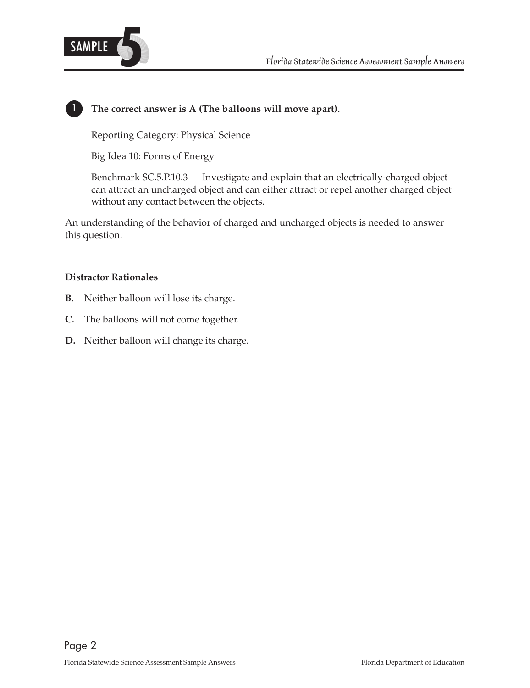

# **1 The correct answer is A (The balloons will move apart).**

Reporting Category: Physical Science

Big Idea 10: Forms of Energy

Benchmark SC.5.P.10.3 Investigate and explain that an electrically-charged object can attract an uncharged object and can either attract or repel another charged object without any contact between the objects.

An understanding of the behavior of charged and uncharged objects is needed to answer this question.

- **B.** Neither balloon will lose its charge.
- **C.** The balloons will not come together.
- **D.** Neither balloon will change its charge.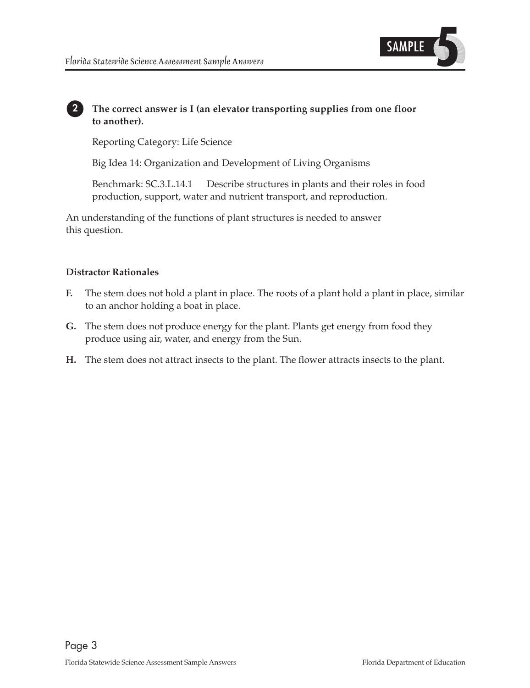

# **2 The correct answer is I (an elevator transporting supplies from one floor to another).**

Reporting Category: Life Science

Big Idea 14: Organization and Development of Living Organisms

Benchmark: SC.3.L.14.1 Describe structures in plants and their roles in food production, support, water and nutrient transport, and reproduction.

An understanding of the functions of plant structures is needed to answer this question.

- **F.** The stem does not hold a plant in place. The roots of a plant hold a plant in place, similar to an anchor holding a boat in place.
- **G.** The stem does not produce energy for the plant. Plants get energy from food they produce using air, water, and energy from the Sun.
- H. The stem does not attract insects to the plant. The flower attracts insects to the plant.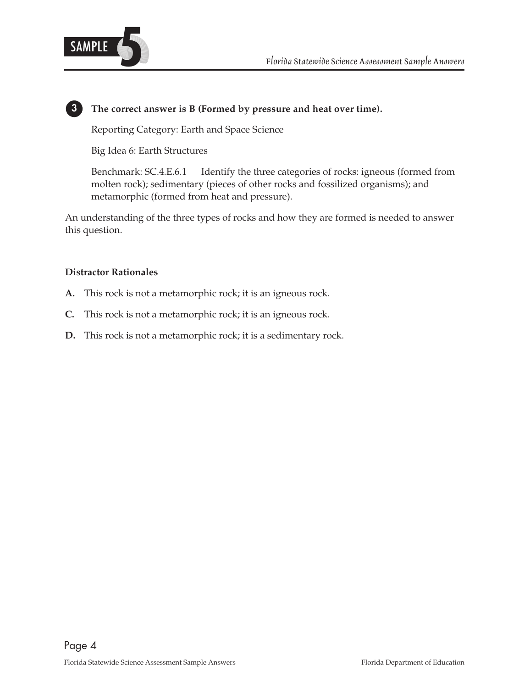

## **3 The correct answer is B (Formed by pressure and heat over time).**

Reporting Category: Earth and Space Science

Big Idea 6: Earth Structures

Benchmark: SC.4.E.6.1 Identify the three categories of rocks: igneous (formed from molten rock); sedimentary (pieces of other rocks and fossilized organisms); and metamorphic (formed from heat and pressure).

An understanding of the three types of rocks and how they are formed is needed to answer this question.

- **A.** This rock is not a metamorphic rock; it is an igneous rock.
- **C.** This rock is not a metamorphic rock; it is an igneous rock.
- **D.** This rock is not a metamorphic rock; it is a sedimentary rock.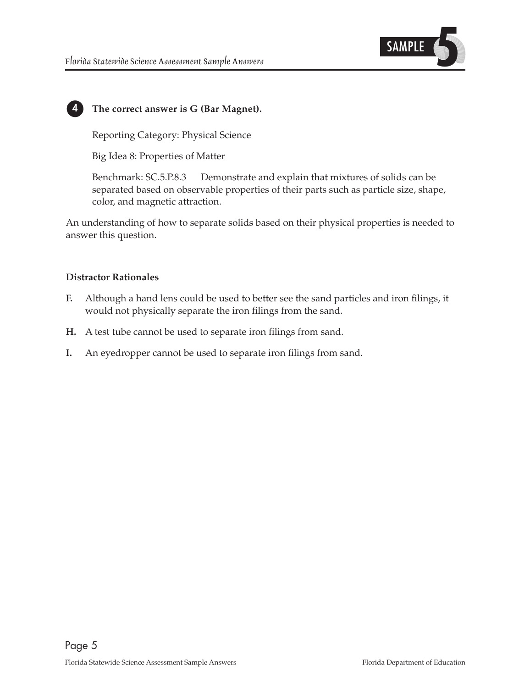

# **4 The correct answer is G (Bar Magnet).**

Reporting Category: Physical Science

Big Idea 8: Properties of Matter

 Benchmark: SC.5.P.8.3 Demonstrate and explain that mixtures of solids can be separated based on observable properties of their parts such as particle size, shape, color, and magnetic attraction.

An understanding of how to separate solids based on their physical properties is needed to answer this question.

- **F.** Although a hand lens could be used to better see the sand particles and iron filings, it would not physically separate the iron filings from the sand.
- **H.** A test tube cannot be used to separate iron filings from sand.
- **I.** An eyedropper cannot be used to separate iron filings from sand.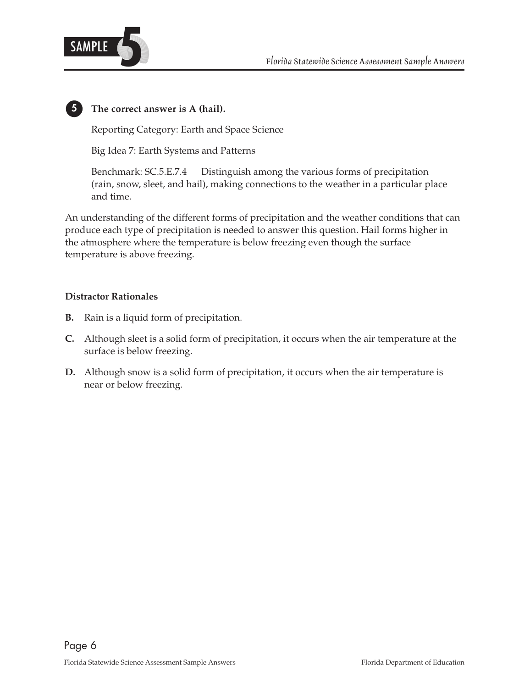



# **5 The correct answer is A (hail).**

Reporting Category: Earth and Space Science

Big Idea 7: Earth Systems and Patterns

Benchmark: SC.5.E.7.4 Distinguish among the various forms of precipitation (rain, snow, sleet, and hail), making connections to the weather in a particular place and time.

An understanding of the different forms of precipitation and the weather conditions that can produce each type of precipitation is needed to answer this question. Hail forms higher in the atmosphere where the temperature is below freezing even though the surface temperature is above freezing.

- **B.** Rain is a liquid form of precipitation.
- **C.** Although sleet is a solid form of precipitation, it occurs when the air temperature at the surface is below freezing.
- **D.** Although snow is a solid form of precipitation, it occurs when the air temperature is near or below freezing.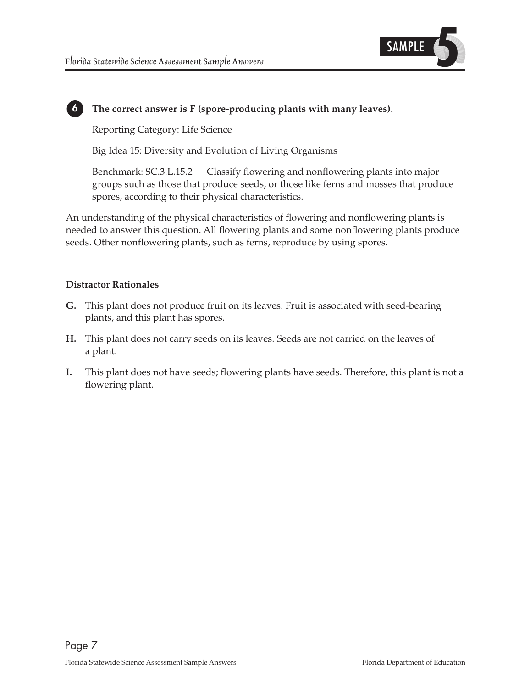

# **6 The correct answer is F (spore-producing plants with many leaves).**

Reporting Category: Life Science

Big Idea 15: Diversity and Evolution of Living Organisms

Benchmark: SC.3.L.15.2 Classify flowering and nonflowering plants into major groups such as those that produce seeds, or those like ferns and mosses that produce spores, according to their physical characteristics.

An understanding of the physical characteristics of flowering and nonflowering plants is needed to answer this question. All flowering plants and some nonflowering plants produce seeds. Other nonflowering plants, such as ferns, reproduce by using spores.

- **G.** This plant does not produce fruit on its leaves. Fruit is associated with seed-bearing plants, and this plant has spores.
- H. This plant does not carry seeds on its leaves. Seeds are not carried on the leaves of a plant.
- **I.** This plant does not have seeds; flowering plants have seeds. Therefore, this plant is not a flowering plant.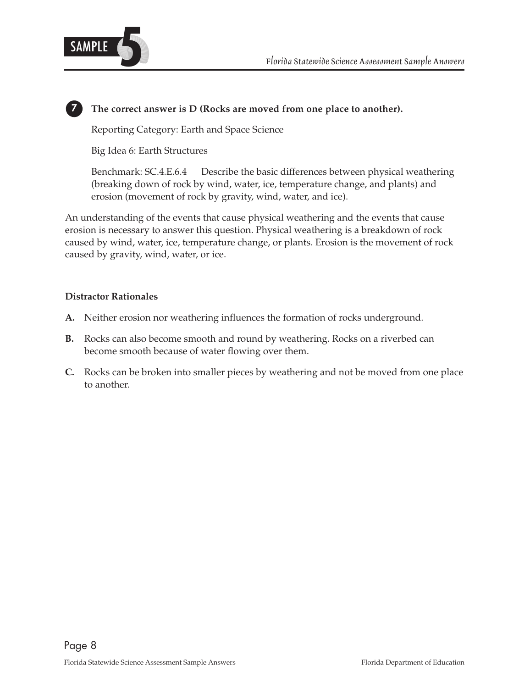

## **7 The correct answer is D (Rocks are moved from one place to another).**

Reporting Category: Earth and Space Science

Big Idea 6: Earth Structures

Benchmark: SC.4.E.6.4 Describe the basic differences between physical weathering (breaking down of rock by wind, water, ice, temperature change, and plants) and erosion (movement of rock by gravity, wind, water, and ice).

An understanding of the events that cause physical weathering and the events that cause erosion is necessary to answer this question. Physical weathering is a breakdown of rock caused by wind, water, ice, temperature change, or plants. Erosion is the movement of rock caused by gravity, wind, water, or ice.

- **A.** Neither erosion nor weathering influences the formation of rocks underground.
- **B.** Rocks can also become smooth and round by weathering. Rocks on a riverbed can become smooth because of water flowing over them.
- **C.** Rocks can be broken into smaller pieces by weathering and not be moved from one place to another.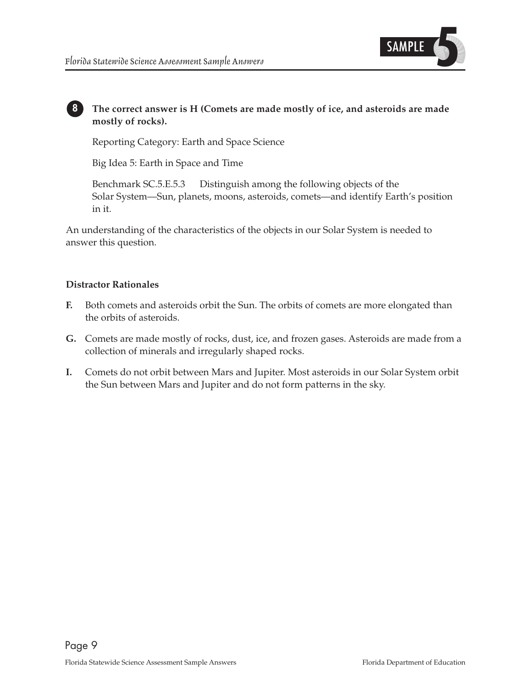

# **8 The correct answer is H (Comets are made mostly of ice, and asteroids are made mostly of rocks).**

Reporting Category: Earth and Space Science

Big Idea 5: Earth in Space and Time

Benchmark SC.5.E.5.3 Distinguish among the following objects of the Solar System—Sun, planets, moons, asteroids, comets—and identify Earth's position in it.

An understanding of the characteristics of the objects in our Solar System is needed to answer this question.

- **F.** Both comets and asteroids orbit the Sun. The orbits of comets are more elongated than the orbits of asteroids.
- G. Comets are made mostly of rocks, dust, ice, and frozen gases. Asteroids are made from a collection of minerals and irregularly shaped rocks.
- **I.** Comets do not orbit between Mars and Jupiter. Most asteroids in our Solar System orbit the Sun between Mars and Jupiter and do not form patterns in the sky.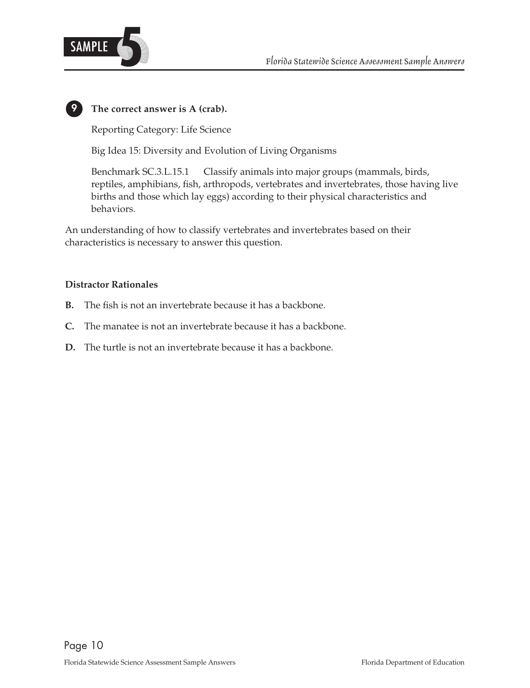

# **9 The correct answer is A (crab).**

Reporting Category: Life Science

Big Idea 15: Diversity and Evolution of Living Organisms

Benchmark SC.3.L.15.1 Classify animals into major groups (mammals, birds, reptiles, amphibians, fish, arthropods, vertebrates and invertebrates, those having live births and those which lay eggs) according to their physical characteristics and behaviors.

An understanding of how to classify vertebrates and invertebrates based on their characteristics is necessary to answer this question.

- **B.** The fish is not an invertebrate because it has a backbone.
- **C.** The manatee is not an invertebrate because it has a backbone.
- **D.** The turtle is not an invertebrate because it has a backbone.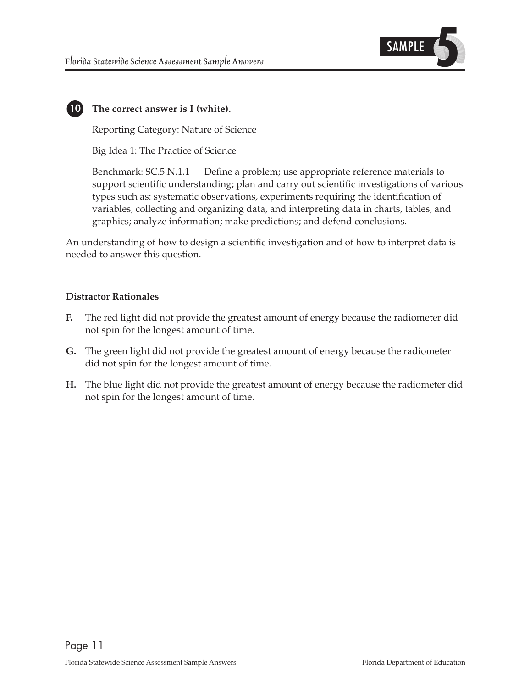

# **10 The correct answer is I (white).**

Reporting Category: Nature of Science

Big Idea 1: The Practice of Science

Benchmark: SC.5.N.1.1 Define a problem; use appropriate reference materials to support scientific understanding; plan and carry out scientific investigations of various types such as: systematic observations, experiments requiring the identification of variables, collecting and organizing data, and interpreting data in charts, tables, and graphics; analyze information; make predictions; and defend conclusions.

An understanding of how to design a scientific investigation and of how to interpret data is needed to answer this question.

- **F.** The red light did not provide the greatest amount of energy because the radiometer did not spin for the longest amount of time.
- **G.** The green light did not provide the greatest amount of energy because the radiometer did not spin for the longest amount of time.
- **H.** The blue light did not provide the greatest amount of energy because the radiometer did not spin for the longest amount of time.